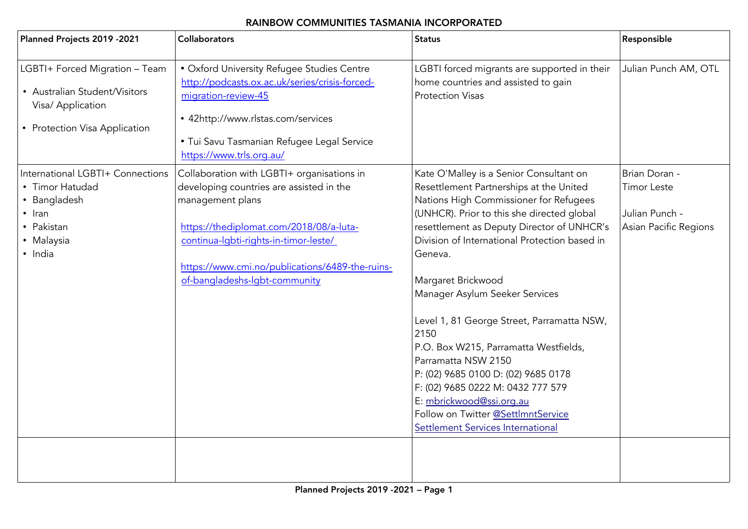## <span id="page-0-0"></span>RAINBOW COMMUNITIES TASMANIA INCORPORATED

| Planned Projects 2019 - 2021                                                                                               | <b>Collaborators</b>                                                                                                                                                                                                                                                               | <b>Status</b>                                                                                                                                                                                                                                                                                                                                                                                                                                                                                                                                                                                                                                         | Responsible                                                                    |
|----------------------------------------------------------------------------------------------------------------------------|------------------------------------------------------------------------------------------------------------------------------------------------------------------------------------------------------------------------------------------------------------------------------------|-------------------------------------------------------------------------------------------------------------------------------------------------------------------------------------------------------------------------------------------------------------------------------------------------------------------------------------------------------------------------------------------------------------------------------------------------------------------------------------------------------------------------------------------------------------------------------------------------------------------------------------------------------|--------------------------------------------------------------------------------|
| LGBTI+ Forced Migration - Team<br>• Australian Student/Visitors<br>Visa/ Application<br>• Protection Visa Application      | · Oxford University Refugee Studies Centre<br>http://podcasts.ox.ac.uk/series/crisis-forced-<br>migration-review-45<br>• 42http://www.rlstas.com/services<br>· Tui Savu Tasmanian Refugee Legal Service<br>https://www.trls.org.au/                                                | LGBTI forced migrants are supported in their<br>home countries and assisted to gain<br><b>Protection Visas</b>                                                                                                                                                                                                                                                                                                                                                                                                                                                                                                                                        | Julian Punch AM, OTL                                                           |
| International LGBTI+ Connections<br>• Timor Hatudad<br>• Bangladesh<br>$\cdot$ Iran<br>• Pakistan<br>• Malaysia<br>· India | Collaboration with LGBTI+ organisations in<br>developing countries are assisted in the<br>management plans<br>https://thediplomat.com/2018/08/a-luta-<br>continua-Igbti-rights-in-timor-leste/<br>https://www.cmi.no/publications/6489-the-ruins-<br>of-bangladeshs-lgbt-community | Kate O'Malley is a Senior Consultant on<br>Resettlement Partnerships at the United<br>Nations High Commissioner for Refugees<br>(UNHCR). Prior to this she directed global<br>resettlement as Deputy Director of UNHCR's<br>Division of International Protection based in<br>Geneva.<br>Margaret Brickwood<br>Manager Asylum Seeker Services<br>Level 1, 81 George Street, Parramatta NSW,<br>2150<br>P.O. Box W215, Parramatta Westfields,<br>Parramatta NSW 2150<br>P: (02) 9685 0100 D: (02) 9685 0178<br>F: (02) 9685 0222 M: 0432 777 579<br>E: mbrickwood@ssi.org.au<br>Follow on Twitter @SettlmntService<br>Settlement Services International | Brian Doran -<br><b>Timor Leste</b><br>Julian Punch -<br>Asian Pacific Regions |
|                                                                                                                            |                                                                                                                                                                                                                                                                                    |                                                                                                                                                                                                                                                                                                                                                                                                                                                                                                                                                                                                                                                       |                                                                                |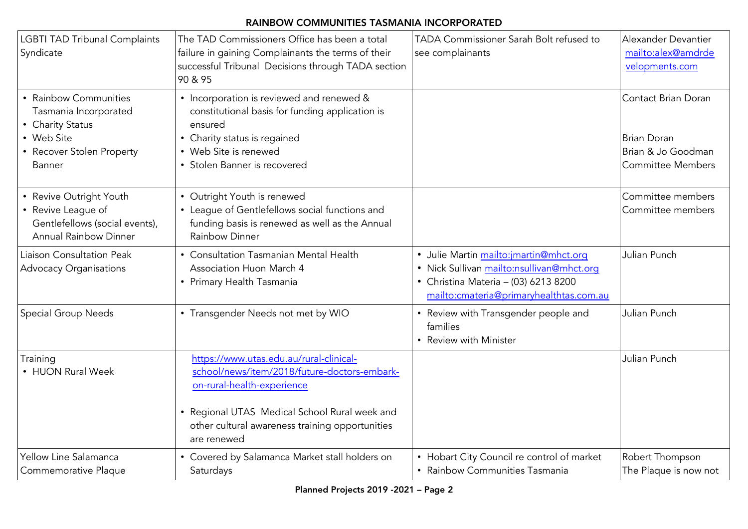## RAINBOW COMMUNITIES TASMANIA INCORPORATED

| <b>LGBTI TAD Tribunal Complaints</b><br>Syndicate                                                                              | The TAD Commissioners Office has been a total<br>failure in gaining Complainants the terms of their<br>successful Tribunal Decisions through TADA section<br>90 & 95                                                                     | TADA Commissioner Sarah Bolt refused to<br>see complainants                                                                                                            | Alexander Devantier<br>mailto:alex@amdrde<br>velopments.com                                 |
|--------------------------------------------------------------------------------------------------------------------------------|------------------------------------------------------------------------------------------------------------------------------------------------------------------------------------------------------------------------------------------|------------------------------------------------------------------------------------------------------------------------------------------------------------------------|---------------------------------------------------------------------------------------------|
| • Rainbow Communities<br>Tasmania Incorporated<br>• Charity Status<br>• Web Site<br>• Recover Stolen Property<br><b>Banner</b> | • Incorporation is reviewed and renewed &<br>constitutional basis for funding application is<br>ensured<br>• Charity status is regained<br>• Web Site is renewed<br>• Stolen Banner is recovered                                         |                                                                                                                                                                        | Contact Brian Doran<br><b>Brian Doran</b><br>Brian & Jo Goodman<br><b>Committee Members</b> |
| • Revive Outright Youth<br>• Revive League of<br>Gentlefellows (social events),<br><b>Annual Rainbow Dinner</b>                | • Outright Youth is renewed<br>• League of Gentlefellows social functions and<br>funding basis is renewed as well as the Annual<br>Rainbow Dinner                                                                                        |                                                                                                                                                                        | Committee members<br>Committee members                                                      |
| Liaison Consultation Peak<br><b>Advocacy Organisations</b>                                                                     | • Consultation Tasmanian Mental Health<br>Association Huon March 4<br>• Primary Health Tasmania                                                                                                                                          | · Julie Martin mailto:jmartin@mhct.org<br>· Nick Sullivan mailto:nsullivan@mhct.org<br>• Christina Materia - (03) 6213 8200<br>mailto:cmateria@primaryhealthtas.com.au | Julian Punch                                                                                |
| Special Group Needs                                                                                                            | • Transgender Needs not met by WIO                                                                                                                                                                                                       | • Review with Transgender people and<br>families<br>• Review with Minister                                                                                             | Julian Punch                                                                                |
| Training<br>• HUON Rural Week                                                                                                  | https://www.utas.edu.au/rural-clinical-<br>school/news/item/2018/future-doctors-embark-<br>on-rural-health-experience<br>• Regional UTAS Medical School Rural week and<br>other cultural awareness training opportunities<br>are renewed |                                                                                                                                                                        | Julian Punch                                                                                |
| Yellow Line Salamanca<br>Commemorative Plaque                                                                                  | • Covered by Salamanca Market stall holders on<br>Saturdays                                                                                                                                                                              | • Hobart City Council re control of market<br>• Rainbow Communities Tasmania                                                                                           | Robert Thompson<br>The Plaque is now not                                                    |